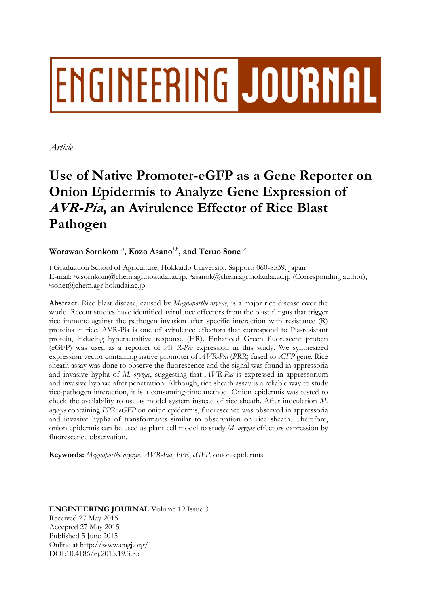# ENGINEERING JOURNAL

*Article* 

# **Use of Native Promoter-eGFP as a Gene Reporter on Onion Epidermis to Analyze Gene Expression of AVR-Pia, an Avirulence Effector of Rice Blast Pathogen**

# Worawan Sornkom<sup>1,a</sup>, Kozo Asano<sup>1,b</sup>, and Teruo Sone<sup>1,c</sup>

1 Graduation School of Agriculture, Hokkaido University, Sapporo 060-8539, Japan E-mail: awsornkom@chem.agr.hokudai.ac.jp, basanok@chem.agr.hokudai.ac.jp (Corresponding author), csonet@chem.agr.hokudai.ac.jp

**Abstract.** Rice blast disease, caused by *Magnaporthe oryzae*, is a major rice disease over the world. Recent studies have identified avirulence effectors from the blast fungus that trigger rice immune against the pathogen invasion after specific interaction with resistance (R) proteins in rice. AVR-Pia is one of avirulence effectors that correspond to Pia-resistant protein, inducing hypersensitive response (HR). Enhanced Green fluorescent protein (eGFP) was used as a reporter of *AVR-Pia* expression in this study. We synthesized expression vector containing native promoter of *AVR-Pia* (*PRR*) fused to *eGFP* gene. Rice sheath assay was done to observe the fluorescence and the signal was found in appressoria and invasive hypha of *M. oryzae*, suggesting that *AVR-Pia* is expressed in appressorium and invasive hyphae after penetration. Although, rice sheath assay is a reliable way to study rice-pathogen interaction, it is a consuming-time method. Onion epidermis was tested to check the availability to use as model system instead of rice sheath. After inoculation *M. oryzae* containing *PPR*::*eGFP* on onion epidermis, fluorescence was observed in appressoria and invasive hypha of transformants similar to observation on rice sheath. Therefore, onion epidermis can be used as plant cell model to study *M. oryzae* effectors expression by fluorescence observation.

**Keywords:** *Magnaporthe oryzae*, *AVR-Pia*, *PPR*, *eGFP*, onion epidermis.

# **ENGINEERING JOURNAL** Volume 19 Issue 3 Received 27 May 2015 Accepted 27 May 2015 Published 5 June 2015 Online at http://www.engj.org/ DOI:10.4186/ej.2015.19.3.85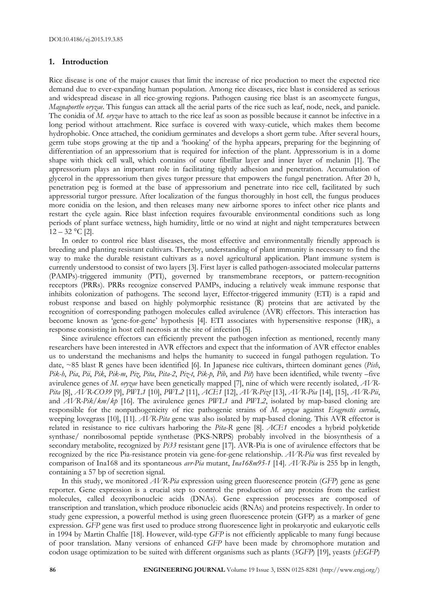## **1. Introduction**

Rice disease is one of the major causes that limit the increase of rice production to meet the expected rice demand due to ever-expanding human population. Among rice diseases, rice blast is considered as serious and widespread disease in all rice-growing regions. Pathogen causing rice blast is an ascomycete fungus, *Magnaporthe oryzae*. This fungus can attack all the aerial parts of the rice such as leaf, node, neck, and panicle. The conidia of *M. oryzae* have to attach to the rice leaf as soon as possible because it cannot be infective in a long period without attachment. Rice surface is covered with waxy-cuticle, which makes them become hydrophobic. Once attached, the conidium germinates and develops a short germ tube. After several hours, germ tube stops growing at the tip and a 'hooking' of the hypha appears, preparing for the beginning of differentiation of an appressorium that is required for infection of the plant. Appressorium is in a dome shape with thick cell wall, which contains of outer fibrillar layer and inner layer of melanin [1]. The appressorium plays an important role in facilitating tightly adhesion and penetration. Accumulation of glycerol in the appressorium then gives turgor pressure that empowers the fungal penetration. After 20 h, penetration peg is formed at the base of appressorium and penetrate into rice cell, facilitated by such appressorial turgor pressure. After localization of the fungus thoroughly in host cell, the fungus produces more conidia on the lesion, and then releases many new airborne spores to infect other rice plants and restart the cycle again. Rice blast infection requires favourable environmental conditions such as long periods of plant surface wetness, high humidity, little or no wind at night and night temperatures between  $12 - 32$  °C [2].

In order to control rice blast diseases, the most effective and environmentally friendly approach is breeding and planting resistant cultivars. Thereby, understanding of plant immunity is necessary to find the way to make the durable resistant cultivars as a novel agricultural application. Plant immune system is currently understood to consist of two layers [3]. First layer is called pathogen-associated molecular patterns (PAMPs)-triggered immunity (PTI), governed by transmembrane receptors, or pattern-recognition receptors (PRRs). PRRs recognize conserved PAMPs, inducing a relatively weak immune response that inhibits colonization of pathogens. The second layer, Effector-triggered immunity (ETI) is a rapid and robust response and based on highly polymorphic resistance (R) proteins that are activated by the recognition of corresponding pathogen molecules called avirulence (AVR) effectors. This interaction has become known as 'gene-for-gene' hypothesis [4]. ETI associates with hypersensitive response (HR), a response consisting in host cell necrosis at the site of infection [5].

Since avirulence effectors can efficiently prevent the pathogen infection as mentioned, recently many researchers have been interested in AVR effectors and expect that the information of AVR effector enables us to understand the mechanisms and helps the humanity to succeed in fungal pathogen regulation. To date, ~85 blast R genes have been identified [6]. In Japanese rice cultivars, thirteen dominant genes (*Pish*, *Pik-h*, *Pia*, *Pii*, *Pik*, *Pik-m*, *Piz*, *Pita*, *Pita-2*, *Piz-t*, *Pik-p*, *Pib*, and *Pit*) have been identified, while twenty –five avirulence genes of *M. oryzae* have been genetically mapped [7], nine of which were recently isolated, *AVR-Pita* [8], *AVR-CO39* [9], *PWL1* [10], *PWL2* [11], *ACE1* [12], *AVR-Pizt* [13], *AVR-Pia* [14], [15], *AVR-Pii*, and *AVR-Pik*/*km*/*kp* [16]. The avirulence genes *PWL1* and *PWL2*, isolated by map-based cloning are responsible for the nonpathogenicity of rice pathogenic strains of *M. oryzae* against *Eragrostis curvula*, weeping lovegrass [10], [11]. *AVR-Pita* gene was also isolated by map-based cloning. This AVR effector is related in resistance to rice cultivars harboring the *Pita-R* gene [8]. *ACE1* encodes a hybrid polyketide synthase/ nonribosomal peptide synthetase (PKS-NRPS) probably involved in the biosynthesis of a secondary metabolite, recognized by *Pi33* resistant gene [17]. AVR-Pia is one of avirulence effectors that be recognized by the rice Pia-resistance protein via gene-for-gene relationship. *AVR-Pia* was first revealed by comparison of Ina168 and its spontaneous *avr-Pia* mutant, *Ina168m95-1* [14]. *AVR-Pia* is 255 bp in length, containing a 57 bp of secretion signal.

In this study, we monitored *AVR-Pia* expression using green fluorescence protein (*GFP*) gene as gene reporter. Gene expression is a crucial step to control the production of any proteins from the earliest molecules, called deoxyribonucleic acids (DNAs). Gene expression processes are composed of transcription and translation, which produce ribonucleic acids (RNAs) and proteins respectively. In order to study gene expression, a powerful method is using green fluorescence protein (GFP) as a marker of gene expression. *GFP* gene was first used to produce strong fluorescence light in prokaryotic and eukaryotic cells in 1994 by Martin Chalfie [18]. However, wild-type *GFP* is not efficiently applicable to many fungi because of poor translation. Many versions of enhanced *GFP* have been made by chromophore mutation and codon usage optimization to be suited with different organisms such as plants (*SGFP*) [19], yeasts (*yEGFP*)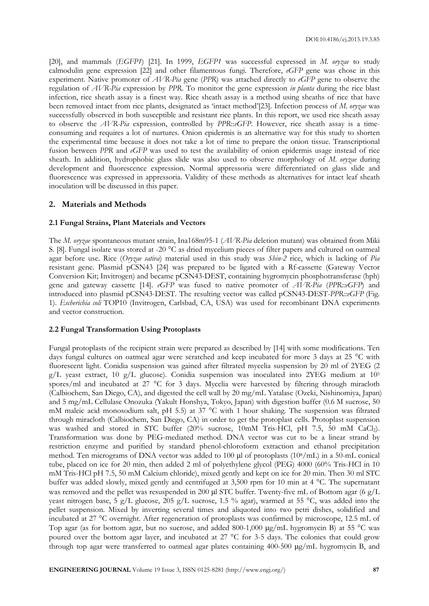[20], and mammals (*EGFP1*) [21]. In 1999, *EGFP1* was successful expressed in *M. oryzae* to study calmodulin gene expression [22] and other filamentous fungi. Therefore, *eGFP* gene was chose in this experiment. Native promoter of *AVR-Pia* gene (*PPR*) was attached directly to *eGFP* gene to observe the regulation of *AVR-Pia* expression by *PPR*. To monitor the gene expression *in planta* during the rice blast infection, rice sheath assay is a finest way. Rice sheath assay is a method using sheaths of rice that have been removed intact from rice plants, designated as 'intact method'[23]. Infection process of *M. oryzae* was successfully observed in both susceptible and resistant rice plants. In this report, we used rice sheath assay to observe the *AVR-Pia* expression, controlled by *PPR*::*eGFP*. However, rice sheath assay is a timeconsuming and requires a lot of nurtures. Onion epidermis is an alternative way for this study to shorten the experimental time because it does not take a lot of time to prepare the onion tissue. Transcriptional fusion between *PPR* and *eGFP* was used to test the availability of onion epidermis usage instead of rice sheath. In addition, hydrophobic glass slide was also used to observe morphology of *M. oryzae* during development and fluorescence expression. Normal appressoria were differentiated on glass slide and fluorescence was expressed in appressoria. Validity of these methods as alternatives for intact leaf sheath inoculation will be discussed in this paper.

# **2. Materials and Methods**

#### **2.1 Fungal Strains, Plant Materials and Vectors**

The *M. oryzae* spontaneous mutant strain, Ina168m95-1 (*AVR-Pia* deletion mutant) was obtained from Miki S. [8]. Fungal isolate was stored at -20 °C as dried mycelium pieces of filter papers and cultured on oatmeal agar before use. Rice (*Oryzae sativa*) material used in this study was *Shin-2* rice, which is lacking of *Pia* resistant gene. Plasmid pCSN43 [24] was prepared to be ligated with a Rf-cassette (Gateway Vector Conversion Kit; Invitrogen) and became pCSN43-DEST, containing hygromycin phosphotransferase (hph) gene and gateway cassette [14]. *eGFP* was fused to native promoter of *AVR-Pia* (*PPR::eGFP*) and introduced into plasmid pCSN43-DEST. The resulting vector was called pCSN43-DEST-*PPR::eGFP* (Fig. 1). *Escherichia coli* TOP10 (Invitrogen, Carlsbad, CA, USA) was used for recombinant DNA experiments and vector construction.

# **2.2 Fungal Transformation Using Protoplasts**

Fungal protoplasts of the recipient strain were prepared as described by [14] with some modifications. Ten days fungal cultures on oatmeal agar were scratched and keep incubated for more 3 days at 25 °C with fluorescent light. Conidia suspension was gained after filtrated mycelia suspension by 20 ml of 2YEG (2 g/L yeast extract, 10 g/L glucose). Conidia suspension was inoculated into 2YEG medium at 105 spores/ml and incubated at 27 °C for 3 days. Mycelia were harvested by filtering through miracloth (Calbiochem, San Diego, CA), and digested the cell wall by 20 mg/mL Yatalase (Ozeki, Nishinomiya, Japan) and 5 mg/mL Cellulase Onozuka (Yakult Honshya, Tokyo, Japan) with digestion buffer (0.6 M sucrose, 50 mM maleic acid monosodium salt, pH 5.5) at 37 °C with 1 hour shaking. The suspension was filtrated through miracloth (Calbiochem, San Diego, CA) in order to get the protoplast cells. Protoplast suspension was washed and stored in STC buffer (20% sucrose, 10mM Tris-HCl, pH 7.5, 50 mM CaCl2). Transformation was done by PEG-mediated method. DNA vector was cut to be a linear strand by restriction enzyme and purified by standard phenol-chloroform extraction and ethanol precipitation method. Ten micrograms of DNA vector was added to 100 μl of protoplasts (108/mL) in a 50-mL conical tube, placed on ice for 20 min, then added 2 ml of polyethylene glycol (PEG) 4000 (60% Tris-HCl in 10 mM Tris-HCl pH 7.5, 50 mM Calcium chloride), mixed gently and kept on ice for 20 min. Then 30 ml STC buffer was added slowly, mixed gently and centrifuged at 3,500 rpm for 10 min at 4 °C. The supernatant was removed and the pellet was resuspended in 200 μl STC buffer. Twenty-five mL of Bottom agar (6 g/L yeast nitrogen base, 5 g/L glucose, 205 g/L sucrose, 1.5 % agar), warmed at 55 °C, was added into the pellet suspension. Mixed by inverting several times and aliquoted into two petri dishes, solidified and incubated at 27 °C overnight. After regeneration of protoplasts was confirmed by microscope, 12.5 mL of Top agar (as for bottom agar, but no sucrose, and added 800-1,000 μg/mL hygromycin B) at 55 °C was poured over the bottom agar layer, and incubated at 27 °C for 3-5 days. The colonies that could grow through top agar were transferred to oatmeal agar plates containing 400-500 μg/mL hygromycin B, and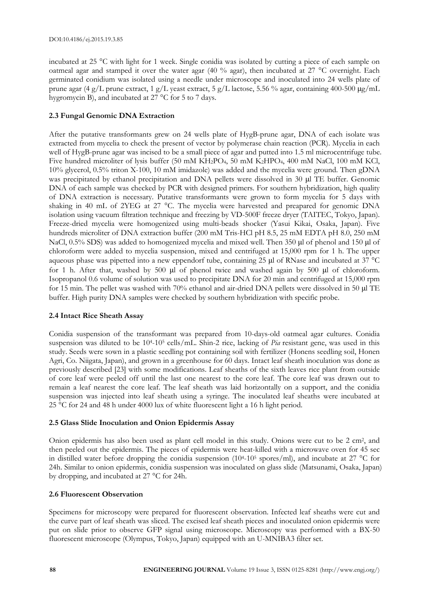incubated at 25 °C with light for 1 week. Single conidia was isolated by cutting a piece of each sample on oatmeal agar and stamped it over the water agar (40 % agar), then incubated at 27 °C overnight. Each germinated conidium was isolated using a needle under microscope and inoculated into 24 wells plate of prune agar (4 g/L prune extract, 1 g/L yeast extract, 5 g/L lactose, 5.56 % agar, containing 400-500 μg/mL hygromycin B), and incubated at 27 °C for 5 to 7 days.

# **2.3 Fungal Genomic DNA Extraction**

After the putative transformants grew on 24 wells plate of HygB-prune agar, DNA of each isolate was extracted from mycelia to check the present of vector by polymerase chain reaction (PCR). Mycelia in each well of HygB-prune agar was incised to be a small piece of agar and putted into 1.5 ml microcentrifuge tube. Five hundred microliter of lysis buffer (50 mM KH<sub>2</sub>PO<sub>4</sub>, 50 mM K<sub>2</sub>HPO<sub>4</sub>, 400 mM NaCl, 100 mM KCl, 10% glycerol, 0.5% triton X-100, 10 mM imidazole) was added and the mycelia were ground. Then gDNA was precipitated by ethanol precipitation and DNA pellets were dissolved in 30 μl TE buffer. Genomic DNA of each sample was checked by PCR with designed primers. For southern hybridization, high quality of DNA extraction is necessary. Putative transformants were grown to form mycelia for 5 days with shaking in 40 mL of 2YEG at 27 °C. The mycelia were harvested and preapared for genomic DNA isolation using vacuum filtration technique and freezing by VD-500F freeze dryer (TAITEC, Tokyo, Japan). Freeze-dried mycelia were homogenized using multi-beads shocker (Yasui Kikai, Osaka, Japan). Five hundreds microliter of DNA extraction buffer (200 mM Tris-HCl pH 8.5, 25 mM EDTA pH 8.0, 250 mM NaCl, 0.5% SDS) was added to homogenized mycelia and mixed well. Then 350 μl of phenol and 150 μl of chloroform were added to mycelia suspension, mixed and centrifuged at 15,000 rpm for 1 h. The upper aqueous phase was pipetted into a new eppendorf tube, containing 25 μl of RNase and incubated at 37 °C for 1 h. After that, washed by 500 μl of phenol twice and washed again by 500 μl of chloroform. Isopropanol 0.6 volume of solution was used to precipitate DNA for 20 min and centrifuged at 15,000 rpm for 15 min. The pellet was washed with 70% ethanol and air-dried DNA pellets were dissolved in 50 μl TE buffer. High purity DNA samples were checked by southern hybridization with specific probe.

# **2.4 Intact Rice Sheath Assay**

Conidia suspension of the transformant was prepared from 10-days-old oatmeal agar cultures. Conidia suspension was diluted to be 104-105 cells/mL. Shin-2 rice, lacking of *Pia* resistant gene, was used in this study. Seeds were sown in a plastic seedling pot containing soil with fertilizer (Honens seedling soil, Honen Agri, Co. Niigata, Japan), and grown in a greenhouse for 60 days. Intact leaf sheath inoculation was done as previously described [23] with some modifications. Leaf sheaths of the sixth leaves rice plant from outside of core leaf were peeled off until the last one nearest to the core leaf. The core leaf was drawn out to remain a leaf nearest the core leaf. The leaf sheath was laid horizontally on a support, and the conidia suspension was injected into leaf sheath using a syringe. The inoculated leaf sheaths were incubated at 25 °C for 24 and 48 h under 4000 lux of white fluorescent light a 16 h light period.

# **2.5 Glass Slide Inoculation and Onion Epidermis Assay**

Onion epidermis has also been used as plant cell model in this study. Onions were cut to be 2 cm2, and then peeled out the epidermis. The pieces of epidermis were heat-killed with a microwave oven for 45 sec in distilled water before dropping the conidia suspension (104-105 spores/ml), and incubate at 27 °C for 24h. Similar to onion epidermis, conidia suspension was inoculated on glass slide (Matsunami, Osaka, Japan) by dropping, and incubated at 27 °C for 24h.

# **2.6 Fluorescent Observation**

Specimens for microscopy were prepared for fluorescent observation. Infected leaf sheaths were cut and the curve part of leaf sheath was sliced. The excised leaf sheath pieces and inoculated onion epidermis were put on slide prior to observe GFP signal using microscope. Microscopy was performed with a BX-50 fluorescent microscope (Olympus, Tokyo, Japan) equipped with an U-MNIBA3 filter set.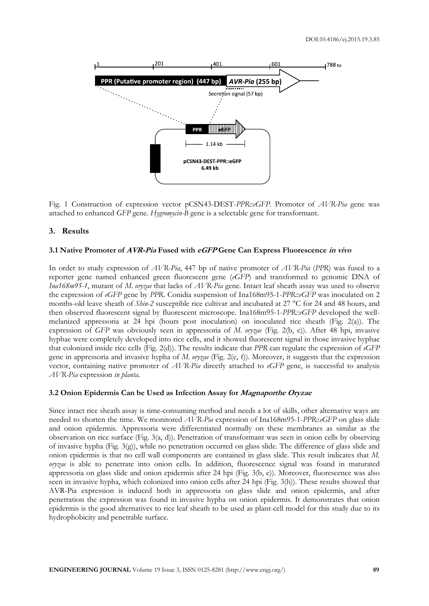

Fig. 1 Construction of expression vector pCSN43-DEST-*PPR*::*eGFP*. Promoter of *AVR-Pia* gene was attached to enhanced *GFP* gene. *Hygromycin-B* gene is a selectable gene for transformant.

# **3. Results**

#### **3.1 Native Promoter of AVR-Pia Fused with eGFP Gene Can Express Fluorescence in vivo**

In order to study expression of *AVR-Pia*, 447 bp of native promoter of *AVR-Pia* (*PPR*) was fused to a reporter gene named enhanced green fluorescent gene (*eGFP*) and transformed to genomic DNA of *Ina168m95-1*, mutant of *M. oryzae* that lacks of *AVR-Pia* gene. Intact leaf sheath assay was used to observe the expression of *eGFP* gene by *PPR*. Conidia suspension of Ina168m95-1-*PPR::eGFP* was inoculated on 2 months-old leave sheath of *Shin-2* susceptible rice cultivar and incubated at 27 °C for 24 and 48 hours, and then observed fluorescent signal by fluorescent microscope. Ina168m95-1-*PPR::eGFP* developed the wellmelanized appressoria at 24 hpi (hours post inoculation) on inoculated rice sheath (Fig. 2(a)). The expression of *GFP* was obviously seen in appressoria of *M. oryzae* (Fig. 2(b, c)). After 48 hpi, invasive hyphae were completely developed into rice cells, and it showed fluorescent signal in those invasive hyphae that colonized inside rice cells (Fig. 2(d)). The results indicate that *PPR* can regulate the expression of *eGFP* gene in appressoria and invasive hypha of *M. oryzae* (Fig. 2(e, f)). Moreover, it suggests that the expression vector, containing native promoter of *AVR-Pia* directly attached to *eGFP* gene, is successful to analysis *AVR-Pia* expression *in planta*.

# **3.2 Onion Epidermis Can be Used as Infection Assay for Magnaporthe Oryzae**

Since intact rice sheath assay is time-consuming method and needs a lot of skills, other alternative ways are needed to shorten the time. We monitored *AVR-Pia* expression of Ina168m95-1-*PPR*::*eGFP* on glass slide and onion epidermis. Appressoria were differentiated normally on these membranes as similar as the observation on rice surface (Fig. 3(a, d)). Penetration of transformant was seen in onion cells by observing of invasive hypha (Fig. 3(g)), while no penetration occurred on glass slide. The difference of glass slide and onion epidermis is that no cell wall components are contained in glass slide. This result indicates that *M. oryzae* is able to penetrate into onion cells. In addition, fluorescence signal was found in maturated appressoria on glass slide and onion epidermis after 24 hpi (Fig. 3(b, e)). Moreover, fluorescence was also seen in invasive hypha, which colonized into onion cells after 24 hpi (Fig. 3(h)). These results showed that AVR-Pia expression is induced both in appressoria on glass slide and onion epidermis, and after penetration the expression was found in invasive hypha on onion epidermis. It demonstrates that onion epidermis is the good alternatives to rice leaf sheath to be used as plant-cell model for this study due to its hydrophobicity and penetrable surface.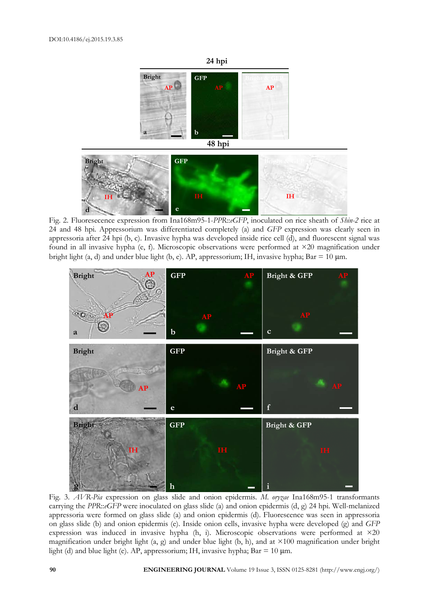

Fig. 2. Fluoresecence expression from Ina168m95-1-*PPR*::*eGFP*, inoculated on rice sheath of *Shin-2* rice at 24 and 48 hpi. Appressorium was differentiated completely (a) and *GFP* expression was clearly seen in appressoria after 24 hpi (b, c). Invasive hypha was developed inside rice cell (d), and fluorescent signal was found in all invasive hypha (e, f). Microscopic observations were performed at ×20 magnification under bright light (a, d) and under blue light (b, e). AP, appressorium; IH, invasive hypha; Bar = 10  $\mu$ m.



Fig. 3. *AVR-Pia* expression on glass slide and onion epidermis. *M. oryzae* Ina168m95-1 transformants carrying the *PPR*::*eGFP* were inoculated on glass slide (a) and onion epidermis (d, g) 24 hpi. Well-melanized appressoria were formed on glass slide (a) and onion epidermis (d). Fluorescence was seen in appressoria on glass slide (b) and onion epidermis (e). Inside onion cells, invasive hypha were developed (g) and *GFP* expression was induced in invasive hypha (h, i). Microscopic observations were performed at ×20 magnification under bright light (a, g) and under blue light (b, h), and at ×100 magnification under bright light (d) and blue light (e). AP, appressorium; IH, invasive hypha;  $Bar = 10 \mu m$ .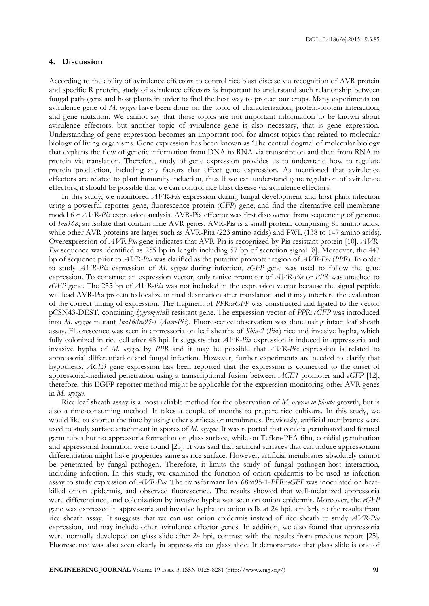# **4. Discussion**

According to the ability of avirulence effectors to control rice blast disease via recognition of AVR protein and specific R protein, study of avirulence effectors is important to understand such relationship between fungal pathogens and host plants in order to find the best way to protect our crops. Many experiments on avirulence gene of *M. oryzae* have been done on the topic of characterization, protein-protein interaction, and gene mutation. We cannot say that those topics are not important information to be known about avirulence effectors, but another topic of avirulence gene is also necessary, that is gene expression. Understanding of gene expression becomes an important tool for almost topics that related to molecular biology of living organisms. Gene expression has been known as 'The central dogma' of molecular biology that explains the flow of genetic information from DNA to RNA via transcription and then from RNA to protein via translation. Therefore, study of gene expression provides us to understand how to regulate protein production, including any factors that effect gene expression. As mentioned that avirulence effectors are related to plant immunity induction, thus if we can understand gene regulation of avirulence effectors, it should be possible that we can control rice blast disease via avirulence effectors.

In this study, we monitored *AVR-Pia* expression during fungal development and host plant infection using a powerful reporter gene, fluorescence protein (*GFP*) gene, and find the alternative cell-membrane model for *AVR-Pia* expression analysis. AVR-Pia effector was first discovered from sequencing of genome of *Ina168*, an isolate that contain nine AVR genes. AVR-Pia is a small protein, comprising 85 amino acids, while other AVR proteins are larger such as AVR-Pita (223 amino acids) and PWL (138 to 147 amino acids). Overexpression of *AVR-Pia* gene indicates that AVR-Pia is recognized by Pia resistant protein [10]. *AVR-Pia* sequence was identified as 255 bp in length including 57 bp of secretion signal [8]. Moreover, the 447 bp of sequence prior to *AVR-Pia* was clarified as the putative promoter region of *AVR-Pia* (*PPR*). In order to study *AVR-Pia* expression of *M. oryzae* during infection, *eGFP* gene was used to follow the gene expression. To construct an expression vector, only native promoter of *AVR-Pia* or *PPR* was attached to *eGFP* gene. The 255 bp of *AVR-Pia* was not included in the expression vector because the signal peptide will lead AVR-Pia protein to localize in final destination after translation and it may interfere the evaluation of the correct timing of expression. The fragment of *PPR*::*eGFP* was constructed and ligated to the vector pCSN43-DEST, containing *hygromycinB* resistant gene. The expression vector of *PPR*::*eGFP* was introduced into *M. oryzae* mutant *Ina168m95-1* (*Δavr-Pia*). Fluorescence observation was done using intact leaf sheath assay. Fluorescence was seen in appressoria on leaf sheaths of *Shin-2 (Pia)* rice and invasive hypha, which fully colonized in rice cell after 48 hpi. It suggests that *AVR-Pia* expression is induced in appressoria and invasive hypha of *M. oryzae* by *PPR* and it may be possible that *AVR-Pia* expression is related to appressorial differentiation and fungal infection. However, further experiments are needed to clarify that hypothesis. *ACE1* gene expression has been reported that the expression is connected to the onset of appressorial-mediated penetration using a transcriptional fusion between *ACE1* promoter and *eGFP* [12], therefore, this EGFP reporter method might be applicable for the expression monitoring other AVR genes in *M. oryzae*.

Rice leaf sheath assay is a most reliable method for the observation of *M. oryzae in planta* growth, but is also a time-consuming method. It takes a couple of months to prepare rice cultivars. In this study, we would like to shorten the time by using other surfaces or membranes. Previously, artificial membranes were used to study surface attachment in spores of *M. oryzae*. It was reported that conidia germinated and formed germ tubes but no appressoria formation on glass surface, while on Teflon-PFA film, conidial germination and appressorial formation were found [25]. It was said that artificial surfaces that can induce appressorium differentiation might have properties same as rice surface. However, artificial membranes absolutely cannot be penetrated by fungal pathogen. Therefore, it limits the study of fungal pathogen-host interaction, including infection. In this study, we examined the function of onion epidermis to be used as infection assay to study expression of *AVR-Pia*. The transformant Ina168m95-1-*PPR*::*eGFP* was inoculated on heatkilled onion epidermis, and observed fluorescence. The results showed that well-melanized appressoria were differentiated, and colonization by invasive hypha was seen on onion epidermis. Moreover, the *eGFP* gene was expressed in appressoria and invasive hypha on onion cells at 24 hpi, similarly to the results from rice sheath assay. It suggests that we can use onion epidermis instead of rice sheath to study *AVR-Pia* expression, and may include other avirulence effector genes. In addition, we also found that appressoria were normally developed on glass slide after 24 hpi, contrast with the results from previous report [25]. Fluorescence was also seen clearly in appressoria on glass slide. It demonstrates that glass slide is one of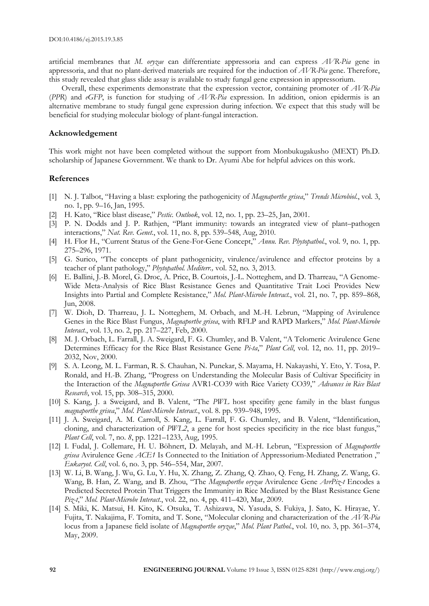artificial membranes that *M. oryzae* can differentiate appressoria and can express *AVR-Pia* gene in appressoria, and that no plant-derived materials are required for the induction of *AVR-Pia* gene. Therefore, this study revealed that glass slide assay is available to study fungal gene expression in appressorium.

Overall, these experiments demonstrate that the expression vector, containing promoter of *AVR-Pia* (*PPR*) and *eGFP*, is function for studying of *AVR-Pia* expression. In addition, onion epidermis is an alternative membrane to study fungal gene expression during infection. We expect that this study will be beneficial for studying molecular biology of plant-fungal interaction.

#### **Acknowledgement**

This work might not have been completed without the support from Monbukugakusho (MEXT) Ph.D. scholarship of Japanese Government. We thank to Dr. Ayumi Abe for helpful advices on this work.

# **References**

- [1] N. J. Talbot, "Having a blast: exploring the pathogenicity of *Magnaporthe grisea*," *Trends Microbiol.*, vol. 3, no. 1, pp. 9–16, Jan, 1995.
- [2] H. Kato, "Rice blast disease," *Pestic. Outlook*, vol. 12, no. 1, pp. 23–25, Jan, 2001.
- [3] P. N. Dodds and J. P. Rathjen, "Plant immunity: towards an integrated view of plant–pathogen interactions," *Nat. Rev. Genet.*, vol. 11, no. 8, pp. 539–548, Aug, 2010.
- [4] H. Flor H., "Current Status of the Gene-For-Gene Concept," *Annu. Rev. Phytopathol.*, vol. 9, no. 1, pp. 275–296, 1971.
- [5] G. Surico, "The concepts of plant pathogenicity, virulence/avirulence and effector proteins by a teacher of plant pathology," *Phytopathol. Mediterr.,* vol. 52, no*.* 3, 2013.
- [6] E. Ballini, J.-B. Morel, G. Droc, A. Price, B. Courtois, J.-L. Notteghem, and D. Tharreau, "A Genome-Wide Meta-Analysis of Rice Blast Resistance Genes and Quantitative Trait Loci Provides New Insights into Partial and Complete Resistance," *Mol. Plant-Microbe Interact.*, vol. 21, no. 7, pp. 859–868, Jun, 2008.
- [7] W. Dioh, D. Tharreau, J. L. Notteghem, M. Orbach, and M.-H. Lebrun, "Mapping of Avirulence Genes in the Rice Blast Fungus, *Magnaporthe grisea*, with RFLP and RAPD Markers," *Mol. Plant-Microbe Interact.*, vol. 13, no. 2, pp. 217–227, Feb, 2000.
- [8] M. J. Orbach, L. Farrall, J. A. Sweigard, F. G. Chumley, and B. Valent, "A Telomeric Avirulence Gene Determines Efficacy for the Rice Blast Resistance Gene *Pi-ta*," *Plant Cell*, vol. 12, no. 11, pp. 2019– 2032, Nov, 2000.
- [9] S. A. Leong, M. L. Farman, R. S. Chauhan, N. Punekar, S. Mayama, H. Nakayashi, Y. Eto, Y. Tosa, P. Ronald, and H.-B. Zhang, "Progress on Understanding the Molecular Basis of Cultivar Specificity in the Interaction of the *Magnaporthe Grisea* AVR1-CO39 with Rice Variety CO39," *Advances in Rice Blast Research*, vol. 15, pp. 308–315, 2000.
- [10] S. Kang, J. a Sweigard, and B. Valent, "The *PWL* host specifity gene family in the blast fungus *magnaporthe grisea*," *Mol. Plant-Microbe Interact.*, vol. 8. pp. 939–948, 1995.
- [11] J. A. Sweigard, A. M. Carroll, S. Kang, L. Farrall, F. G. Chumley, and B. Valent, "Identification, cloning, and characterization of *PWL2*, a gene for host species specificity in the rice blast fungus," *Plant Cell*, vol. 7, no. *8*, pp. 1221–1233, Aug, 1995.
- [12] I. Fudal, J. Collemare, H. U. Böhnert, D. Melayah, and M.-H. Lebrun, "Expression of *Magnaporthe grisea* Avirulence Gene *ACE1* Is Connected to the Initiation of Appressorium-Mediated Penetration ," *Eukaryot. Cell*, vol. 6, no. 3, pp. 546–554, Mar, 2007.
- [13] W. Li, B. Wang, J. Wu, G. Lu, Y. Hu, X. Zhang, Z. Zhang, Q. Zhao, Q. Feng, H. Zhang, Z. Wang, G. Wang, B. Han, Z. Wang, and B. Zhou, "The *Magnaporthe oryzae* Avirulence Gene *AvrPiz-t* Encodes a Predicted Secreted Protein That Triggers the Immunity in Rice Mediated by the Blast Resistance Gene *Piz-t*," *Mol. Plant-Microbe Interact.*, vol. 22, no. 4, pp. 411–420, Mar, 2009.
- [14] S. Miki, K. Matsui, H. Kito, K. Otsuka, T. Ashizawa, N. Yasuda, S. Fukiya, J. Sato, K. Hirayae, Y. Fujita, T. Nakajima, F. Tomita, and T. Sone, "Molecular cloning and characterization of the *AVR-Pia* locus from a Japanese field isolate of *Magnaporthe oryzae*," *Mol. Plant Pathol.*, vol. 10, no. 3, pp. 361–374, May, 2009.